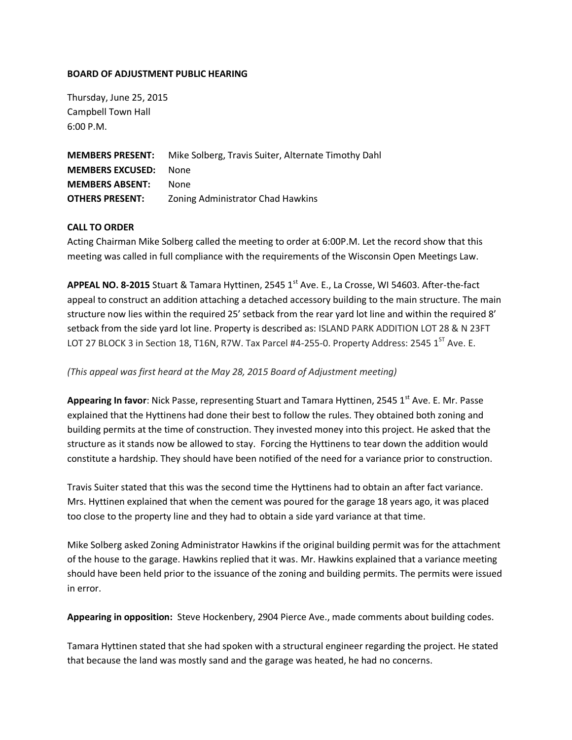### **BOARD OF ADJUSTMENT PUBLIC HEARING**

Thursday, June 25, 2015 Campbell Town Hall 6:00 P.M.

**MEMBERS PRESENT:** Mike Solberg, Travis Suiter, Alternate Timothy Dahl **MEMBERS EXCUSED:** None **MEMBERS ABSENT:** None **OTHERS PRESENT:** Zoning Administrator Chad Hawkins

# **CALL TO ORDER**

Acting Chairman Mike Solberg called the meeting to order at 6:00P.M. Let the record show that this meeting was called in full compliance with the requirements of the Wisconsin Open Meetings Law.

**APPEAL NO. 8-2015** Stuart & Tamara Hyttinen, 2545 1st Ave. E., La Crosse, WI 54603. After-the-fact appeal to construct an addition attaching a detached accessory building to the main structure. The main structure now lies within the required 25' setback from the rear yard lot line and within the required 8' setback from the side yard lot line. Property is described as: ISLAND PARK ADDITION LOT 28 & N 23FT LOT 27 BLOCK 3 in Section 18, T16N, R7W. Tax Parcel #4-255-0. Property Address: 2545 1<sup>ST</sup> Ave. E.

# *(This appeal was first heard at the May 28, 2015 Board of Adjustment meeting)*

Appearing In favor: Nick Passe, representing Stuart and Tamara Hyttinen, 2545 1<sup>st</sup> Ave. E. Mr. Passe explained that the Hyttinens had done their best to follow the rules. They obtained both zoning and building permits at the time of construction. They invested money into this project. He asked that the structure as it stands now be allowed to stay. Forcing the Hyttinens to tear down the addition would constitute a hardship. They should have been notified of the need for a variance prior to construction.

Travis Suiter stated that this was the second time the Hyttinens had to obtain an after fact variance. Mrs. Hyttinen explained that when the cement was poured for the garage 18 years ago, it was placed too close to the property line and they had to obtain a side yard variance at that time.

Mike Solberg asked Zoning Administrator Hawkins if the original building permit was for the attachment of the house to the garage. Hawkins replied that it was. Mr. Hawkins explained that a variance meeting should have been held prior to the issuance of the zoning and building permits. The permits were issued in error.

**Appearing in opposition:** Steve Hockenbery, 2904 Pierce Ave., made comments about building codes.

Tamara Hyttinen stated that she had spoken with a structural engineer regarding the project. He stated that because the land was mostly sand and the garage was heated, he had no concerns.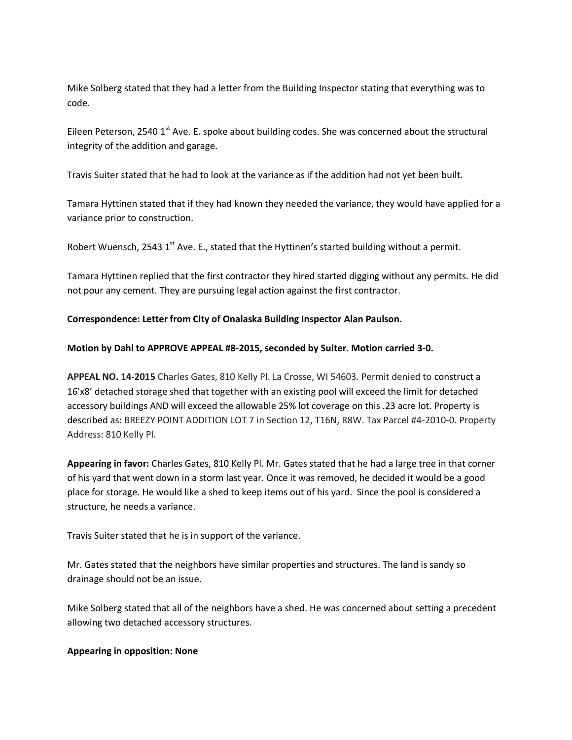Mike Solberg stated that they had a letter from the Building Inspector stating that everything was to code.

Eileen Peterson, 2540 1<sup>st</sup> Ave. E. spoke about building codes. She was concerned about the structural integrity of the addition and garage.

Travis Suiter stated that he had to look at the variance as if the addition had not yet been built.

Tamara Hyttinen stated that if they had known they needed the variance, they would have applied for a variance prior to construction.

Robert Wuensch, 2543  $1<sup>st</sup>$  Ave. E., stated that the Hyttinen's started building without a permit.

Tamara Hyttinen replied that the first contractor they hired started digging without any permits. He did not pour any cement. They are pursuing legal action against the first contractor.

# **Correspondence: Letter from City of Onalaska Building Inspector Alan Paulson.**

# **Motion by Dahl to APPROVE APPEAL #8-2015, seconded by Suiter. Motion carried 3-0.**

**APPEAL NO. 14-2015** Charles Gates, 810 Kelly Pl. La Crosse, WI 54603. Permit denied to construct a 16'x8' detached storage shed that together with an existing pool will exceed the limit for detached accessory buildings AND will exceed the allowable 25% lot coverage on this .23 acre lot. Property is described as: BREEZY POINT ADDITION LOT 7 in Section 12, T16N, R8W. Tax Parcel #4-2010-0. Property Address: 810 Kelly Pl.

**Appearing in favor:** Charles Gates, 810 Kelly Pl. Mr. Gates stated that he had a large tree in that corner of his yard that went down in a storm last year. Once it was removed, he decided it would be a good place for storage. He would like a shed to keep items out of his yard. Since the pool is considered a structure, he needs a variance.

Travis Suiter stated that he is in support of the variance.

Mr. Gates stated that the neighbors have similar properties and structures. The land is sandy so drainage should not be an issue.

Mike Solberg stated that all of the neighbors have a shed. He was concerned about setting a precedent allowing two detached accessory structures.

#### **Appearing in opposition: None**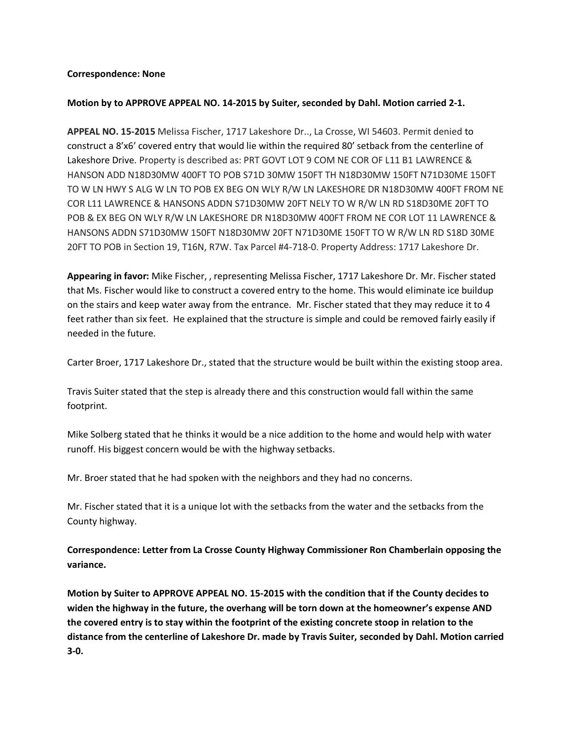#### **Correspondence: None**

### **Motion by to APPROVE APPEAL NO. 14-2015 by Suiter, seconded by Dahl. Motion carried 2-1.**

**APPEAL NO. 15-2015** Melissa Fischer, 1717 Lakeshore Dr.., La Crosse, WI 54603. Permit denied to construct a 8'x6' covered entry that would lie within the required 80' setback from the centerline of Lakeshore Drive. Property is described as: PRT GOVT LOT 9 COM NE COR OF L11 B1 LAWRENCE & HANSON ADD N18D30MW 400FT TO POB S71D 30MW 150FT TH N18D30MW 150FT N71D30ME 150FT TO W LN HWY S ALG W LN TO POB EX BEG ON WLY R/W LN LAKESHORE DR N18D30MW 400FT FROM NE COR L11 LAWRENCE & HANSONS ADDN S71D30MW 20FT NELY TO W R/W LN RD S18D30ME 20FT TO POB & EX BEG ON WLY R/W LN LAKESHORE DR N18D30MW 400FT FROM NE COR LOT 11 LAWRENCE & HANSONS ADDN S71D30MW 150FT N18D30MW 20FT N71D30ME 150FT TO W R/W LN RD S18D 30ME 20FT TO POB in Section 19, T16N, R7W. Tax Parcel #4-718-0. Property Address: 1717 Lakeshore Dr.

**Appearing in favor:** Mike Fischer, , representing Melissa Fischer, 1717 Lakeshore Dr. Mr. Fischer stated that Ms. Fischer would like to construct a covered entry to the home. This would eliminate ice buildup on the stairs and keep water away from the entrance. Mr. Fischer stated that they may reduce it to 4 feet rather than six feet. He explained that the structure is simple and could be removed fairly easily if needed in the future.

Carter Broer, 1717 Lakeshore Dr., stated that the structure would be built within the existing stoop area.

Travis Suiter stated that the step is already there and this construction would fall within the same footprint.

Mike Solberg stated that he thinks it would be a nice addition to the home and would help with water runoff. His biggest concern would be with the highway setbacks.

Mr. Broer stated that he had spoken with the neighbors and they had no concerns.

Mr. Fischer stated that it is a unique lot with the setbacks from the water and the setbacks from the County highway.

**Correspondence: Letter from La Crosse County Highway Commissioner Ron Chamberlain opposing the variance.** 

**Motion by Suiter to APPROVE APPEAL NO. 15-2015 with the condition that if the County decides to widen the highway in the future, the overhang will be torn down at the homeowner's expense AND the covered entry is to stay within the footprint of the existing concrete stoop in relation to the distance from the centerline of Lakeshore Dr. made by Travis Suiter, seconded by Dahl. Motion carried 3-0.**